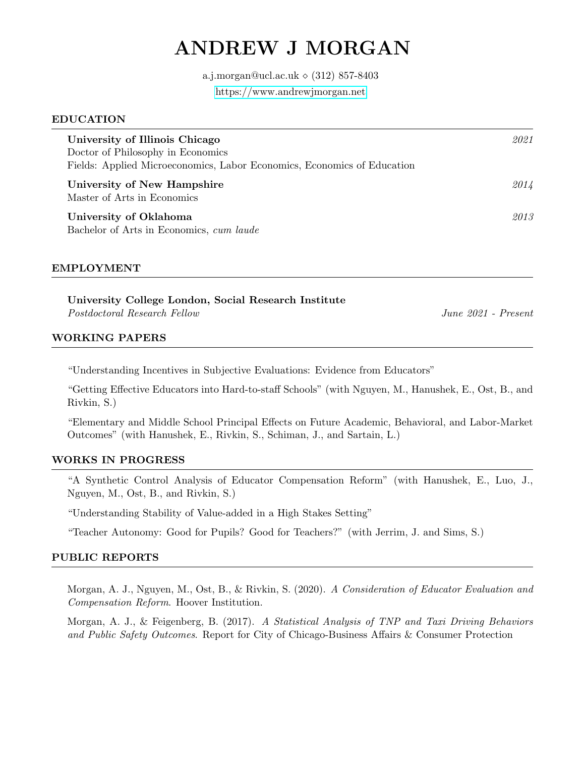# ANDREW J MORGAN

a.j.morgan@ucl.ac.uk  $\diamond$  (312) 857-8403 <https://www.andrewjmorgan.net>

#### EDUCATION

| University of Illinois Chicago                                          | 2021 |
|-------------------------------------------------------------------------|------|
| Doctor of Philosophy in Economics                                       |      |
| Fields: Applied Microeconomics, Labor Economics, Economics of Education |      |
| University of New Hampshire                                             | 2014 |
| Master of Arts in Economics                                             |      |
| University of Oklahoma                                                  | 2013 |
| Bachelor of Arts in Economics, cum laude                                |      |

#### EMPLOYMENT

| University College London, Social Research Institute |                       |
|------------------------------------------------------|-----------------------|
| Postdoctoral Research Fellow                         | $June 2021 - Present$ |
|                                                      |                       |

#### WORKING PAPERS

"Understanding Incentives in Subjective Evaluations: Evidence from Educators"

"Getting Effective Educators into Hard-to-staff Schools" (with Nguyen, M., Hanushek, E., Ost, B., and Rivkin, S.)

"Elementary and Middle School Principal Effects on Future Academic, Behavioral, and Labor-Market Outcomes" (with Hanushek, E., Rivkin, S., Schiman, J., and Sartain, L.)

#### WORKS IN PROGRESS

"A Synthetic Control Analysis of Educator Compensation Reform" (with Hanushek, E., Luo, J., Nguyen, M., Ost, B., and Rivkin, S.)

"Understanding Stability of Value-added in a High Stakes Setting"

"Teacher Autonomy: Good for Pupils? Good for Teachers?" (with Jerrim, J. and Sims, S.)

#### PUBLIC REPORTS

Morgan, A. J., Nguyen, M., Ost, B., & Rivkin, S. (2020). A Consideration of Educator Evaluation and Compensation Reform. Hoover Institution.

Morgan, A. J., & Feigenberg, B. (2017). A Statistical Analysis of TNP and Taxi Driving Behaviors and Public Safety Outcomes. Report for City of Chicago-Business Affairs & Consumer Protection